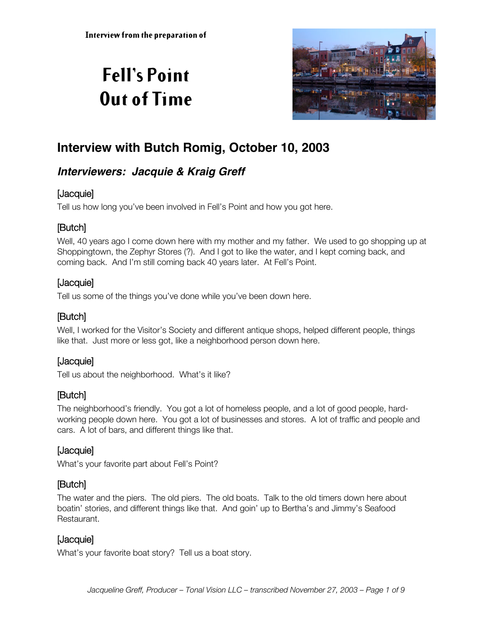# **Fell's Point Out of Time**



# **Interview with Butch Romig, October 10, 2003**

# **Interviewers: Jacquie & Kraig Greff**

# [Jacquie]

Tell us how long you've been involved in Fell's Point and how you got here.

# [Butch]

Well, 40 years ago I come down here with my mother and my father. We used to go shopping up at Shoppingtown, the Zephyr Stores (?). And I got to like the water, and I kept coming back, and coming back. And I'm still coming back 40 years later. At Fell's Point.

# [Jacquie]

Tell us some of the things you've done while you've been down here.

# [Butch]

Well, I worked for the Visitor's Society and different antique shops, helped different people, things like that. Just more or less got, like a neighborhood person down here.

# [Jacquie]

Tell us about the neighborhood. What's it like?

# [Butch]

The neighborhood's friendly. You got a lot of homeless people, and a lot of good people, hardworking people down here. You got a lot of businesses and stores. A lot of traffic and people and cars. A lot of bars, and different things like that.

### [Jacquie]

What's your favorite part about Fell's Point?

# [Butch]

The water and the piers. The old piers. The old boats. Talk to the old timers down here about boatin' stories, and different things like that. And goin' up to Bertha's and Jimmy's Seafood Restaurant.

# [Jacquie]

What's your favorite boat story? Tell us a boat story.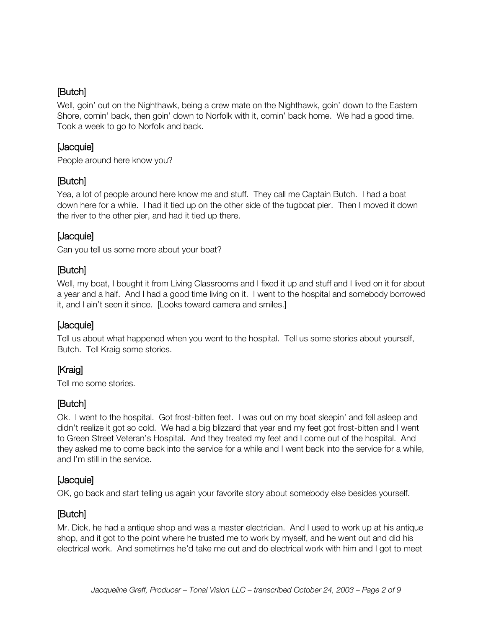Well, goin' out on the Nighthawk, being a crew mate on the Nighthawk, goin' down to the Eastern Shore, comin' back, then goin' down to Norfolk with it, comin' back home. We had a good time. Took a week to go to Norfolk and back.

### [Jacquie]

People around here know you?

### [Butch]

Yea, a lot of people around here know me and stuff. They call me Captain Butch. I had a boat down here for a while. I had it tied up on the other side of the tugboat pier. Then I moved it down the river to the other pier, and had it tied up there.

### [Jacquie]

Can you tell us some more about your boat?

### [Butch]

Well, my boat, I bought it from Living Classrooms and I fixed it up and stuff and I lived on it for about a year and a half. And I had a good time living on it. I went to the hospital and somebody borrowed it, and I ain't seen it since. [Looks toward camera and smiles.]

### [Jacquie]

Tell us about what happened when you went to the hospital. Tell us some stories about yourself, Butch. Tell Kraig some stories.

# [Kraig]

Tell me some stories.

### [Butch]

Ok. I went to the hospital. Got frost-bitten feet. I was out on my boat sleepin' and fell asleep and didn't realize it got so cold. We had a big blizzard that year and my feet got frost-bitten and I went to Green Street Veteran's Hospital. And they treated my feet and I come out of the hospital. And they asked me to come back into the service for a while and I went back into the service for a while, and I'm still in the service.

### [Jacquie]

OK, go back and start telling us again your favorite story about somebody else besides yourself.

# [Butch]

Mr. Dick, he had a antique shop and was a master electrician. And I used to work up at his antique shop, and it got to the point where he trusted me to work by myself, and he went out and did his electrical work. And sometimes he'd take me out and do electrical work with him and I got to meet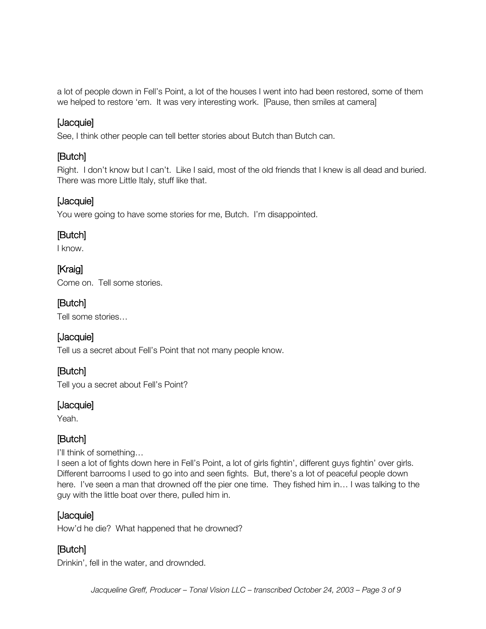a lot of people down in Fell's Point, a lot of the houses I went into had been restored, some of them we helped to restore 'em. It was very interesting work. [Pause, then smiles at camera]

### [Jacquie]

See, I think other people can tell better stories about Butch than Butch can.

### [Butch]

Right. I don't know but I can't. Like I said, most of the old friends that I knew is all dead and buried. There was more Little Italy, stuff like that.

### [Jacquie]

You were going to have some stories for me, Butch. I'm disappointed.

### [Butch]

I know.

# [Kraig]

Come on. Tell some stories.

# [Butch]

Tell some stories…

### [Jacquie]

Tell us a secret about Fell's Point that not many people know.

# [Butch]

Tell you a secret about Fell's Point?

#### [Jacquie]

Yeah.

# [Butch]

I'll think of something…

I seen a lot of fights down here in Fell's Point, a lot of girls fightin', different guys fightin' over girls. Different barrooms I used to go into and seen fights. But, there's a lot of peaceful people down here. I've seen a man that drowned off the pier one time. They fished him in... I was talking to the guy with the little boat over there, pulled him in.

### [Jacquie]

How'd he die? What happened that he drowned?

### [Butch]

Drinkin', fell in the water, and drownded.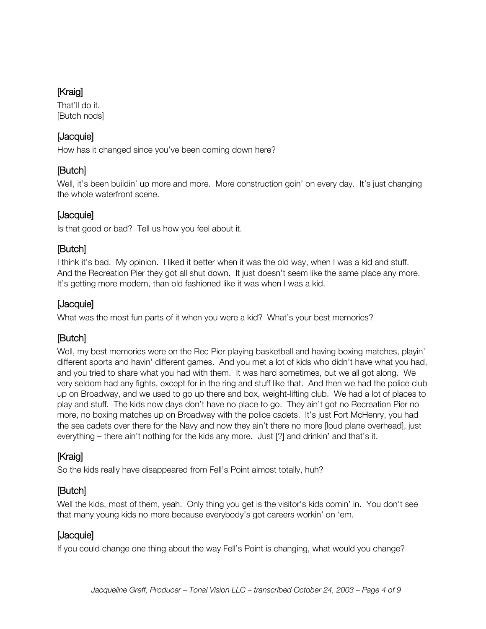# [Kraig]

That'll do it. [Butch nods]

### [Jacquie]

How has it changed since you've been coming down here?

### [Butch]

Well, it's been buildin' up more and more. More construction goin' on every day. It's just changing the whole waterfront scene.

# [Jacquie]

Is that good or bad? Tell us how you feel about it.

### [Butch]

I think it's bad. My opinion. I liked it better when it was the old way, when I was a kid and stuff. And the Recreation Pier they got all shut down. It just doesn't seem like the same place any more. It's getting more modern, than old fashioned like it was when I was a kid.

# [Jacquie]

What was the most fun parts of it when you were a kid? What's your best memories?

# [Butch]

Well, my best memories were on the Rec Pier playing basketball and having boxing matches, playin' different sports and havin' different games. And you met a lot of kids who didn't have what you had, and you tried to share what you had with them. It was hard sometimes, but we all got along. We very seldom had any fights, except for in the ring and stuff like that. And then we had the police club up on Broadway, and we used to go up there and box, weight-lifting club. We had a lot of places to play and stuff. The kids now days don't have no place to go. They ain't got no Recreation Pier no more, no boxing matches up on Broadway with the police cadets. It's just Fort McHenry, you had the sea cadets over there for the Navy and now they ain't there no more [loud plane overhead], just everything – there ain't nothing for the kids any more. Just [?] and drinkin' and that's it.

# [Kraig]

So the kids really have disappeared from Fell's Point almost totally, huh?

# [Butch]

Well the kids, most of them, yeah. Only thing you get is the visitor's kids comin' in. You don't see that many young kids no more because everybody's got careers workin' on 'em.

### [Jacquie]

If you could change one thing about the way Fell's Point is changing, what would you change?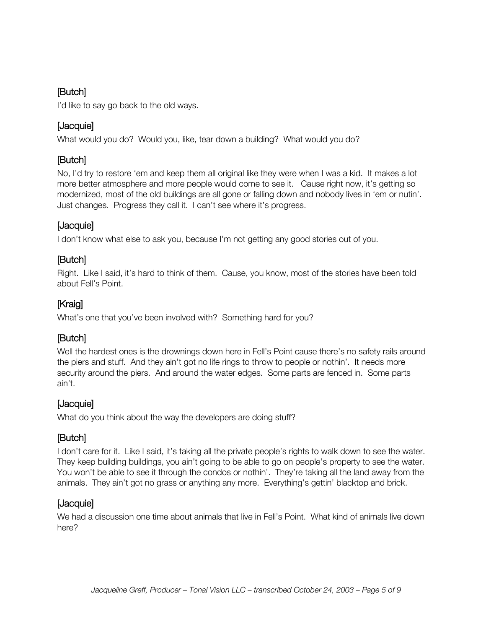I'd like to say go back to the old ways.

# [Jacquie]

What would you do? Would you, like, tear down a building? What would you do?

# [Butch]

No, I'd try to restore 'em and keep them all original like they were when I was a kid. It makes a lot more better atmosphere and more people would come to see it. Cause right now, it's getting so modernized, most of the old buildings are all gone or falling down and nobody lives in 'em or nutin'. Just changes. Progress they call it. I can't see where it's progress.

# [Jacquie]

I don't know what else to ask you, because I'm not getting any good stories out of you.

# [Butch]

Right. Like I said, it's hard to think of them. Cause, you know, most of the stories have been told about Fell's Point.

# [Kraig]

What's one that you've been involved with? Something hard for you?

# [Butch]

Well the hardest ones is the drownings down here in Fell's Point cause there's no safety rails around the piers and stuff. And they ain't got no life rings to throw to people or nothin'. It needs more security around the piers. And around the water edges. Some parts are fenced in. Some parts ain't.

# [Jacquie]

What do you think about the way the developers are doing stuff?

# [Butch]

I don't care for it. Like I said, it's taking all the private people's rights to walk down to see the water. They keep building buildings, you ain't going to be able to go on people's property to see the water. You won't be able to see it through the condos or nothin'. They're taking all the land away from the animals. They ain't got no grass or anything any more. Everything's gettin' blacktop and brick.

### [Jacquie]

We had a discussion one time about animals that live in Fell's Point. What kind of animals live down here?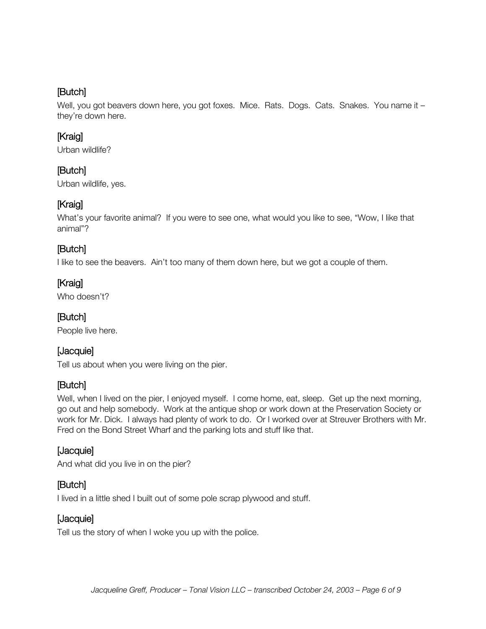Well, you got beavers down here, you got foxes. Mice. Rats. Dogs. Cats. Snakes. You name it – they're down here.

# [Kraig]

Urban wildlife?

### [Butch]

Urban wildlife, yes.

# [Kraig]

What's your favorite animal? If you were to see one, what would you like to see, "Wow, I like that animal"?

### [Butch]

I like to see the beavers. Ain't too many of them down here, but we got a couple of them.

### [Kraig]

Who doesn't?

### [Butch]

People live here.

# [Jacquie]

Tell us about when you were living on the pier.

### [Butch]

Well, when I lived on the pier, I enjoyed myself. I come home, eat, sleep. Get up the next morning, go out and help somebody. Work at the antique shop or work down at the Preservation Society or work for Mr. Dick. I always had plenty of work to do. Or I worked over at Streuver Brothers with Mr. Fred on the Bond Street Wharf and the parking lots and stuff like that.

#### [Jacquie]

And what did you live in on the pier?

#### [Butch]

I lived in a little shed I built out of some pole scrap plywood and stuff.

### [Jacquie]

Tell us the story of when I woke you up with the police.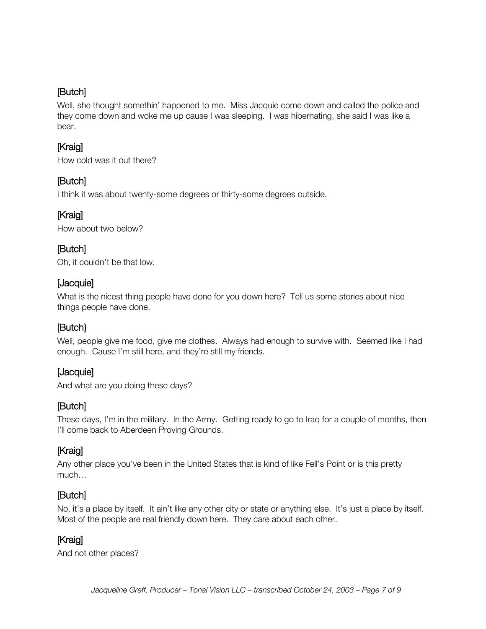Well, she thought somethin' happened to me. Miss Jacquie come down and called the police and they come down and woke me up cause I was sleeping. I was hibernating, she said I was like a bear.

# [Kraig]

How cold was it out there?

# [Butch]

I think it was about twenty-some degrees or thirty-some degrees outside.

# **[Kraig]**

How about two below?

# [Butch]

Oh, it couldn't be that low.

### [Jacquie]

What is the nicest thing people have done for you down here? Tell us some stories about nice things people have done.

### [Butch}

Well, people give me food, give me clothes. Always had enough to survive with. Seemed like I had enough. Cause I'm still here, and they're still my friends.

### [Jacquie]

And what are you doing these days?

### [Butch]

These days, I'm in the military. In the Army. Getting ready to go to Iraq for a couple of months, then I'll come back to Aberdeen Proving Grounds.

# [Kraig]

Any other place you've been in the United States that is kind of like Fell's Point or is this pretty much…

### [Butch]

No, it's a place by itself. It ain't like any other city or state or anything else. It's just a place by itself. Most of the people are real friendly down here. They care about each other.

# [Kraig]

And not other places?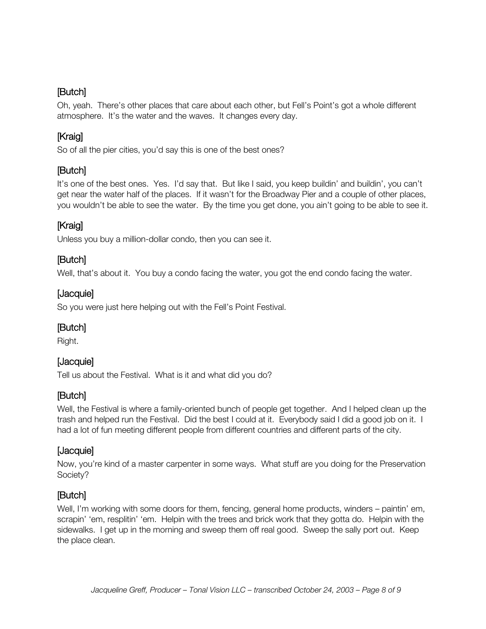Oh, yeah. There's other places that care about each other, but Fell's Point's got a whole different atmosphere. It's the water and the waves. It changes every day.

# [Kraig]

So of all the pier cities, you'd say this is one of the best ones?

# [Butch]

It's one of the best ones. Yes. I'd say that. But like I said, you keep buildin' and buildin', you can't get near the water half of the places. If it wasn't for the Broadway Pier and a couple of other places, you wouldn't be able to see the water. By the time you get done, you ain't going to be able to see it.

# [Kraig]

Unless you buy a million-dollar condo, then you can see it.

### [Butch]

Well, that's about it. You buy a condo facing the water, you got the end condo facing the water.

### [Jacquie]

So you were just here helping out with the Fell's Point Festival.

### [Butch]

Right.

### [Jacquie]

Tell us about the Festival. What is it and what did you do?

### [Butch]

Well, the Festival is where a family-oriented bunch of people get together. And I helped clean up the trash and helped run the Festival. Did the best I could at it. Everybody said I did a good job on it. I had a lot of fun meeting different people from different countries and different parts of the city.

#### [Jacquie]

Now, you're kind of a master carpenter in some ways. What stuff are you doing for the Preservation Society?

### [Butch]

Well, I'm working with some doors for them, fencing, general home products, winders – paintin' em, scrapin' 'em, resplitin' 'em. Helpin with the trees and brick work that they gotta do. Helpin with the sidewalks. I get up in the morning and sweep them off real good. Sweep the sally port out. Keep the place clean.